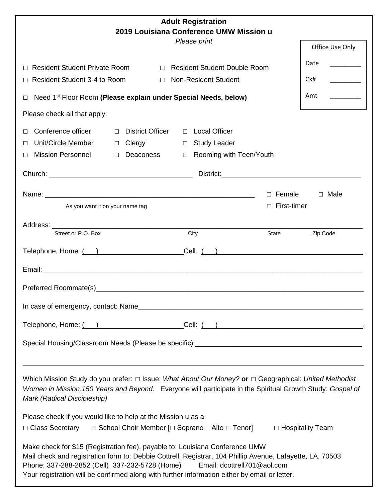| <b>Adult Registration</b><br>2019 Louisiana Conference UMW Mission u                                                                                                                                                                                                                                                                                                        |                    |                                |  |
|-----------------------------------------------------------------------------------------------------------------------------------------------------------------------------------------------------------------------------------------------------------------------------------------------------------------------------------------------------------------------------|--------------------|--------------------------------|--|
| Please print                                                                                                                                                                                                                                                                                                                                                                |                    | Office Use Only                |  |
| <b>Resident Student Private Room</b><br>□ Resident Student Double Room<br>П                                                                                                                                                                                                                                                                                                 |                    | Date                           |  |
| Resident Student 3-4 to Room<br><b>Non-Resident Student</b><br>$\Box$                                                                                                                                                                                                                                                                                                       |                    | Ck#                            |  |
| Need 1 <sup>st</sup> Floor Room (Please explain under Special Needs, below)<br>$\Box$                                                                                                                                                                                                                                                                                       |                    | Amt<br><u> 1990 - Jan Jawa</u> |  |
| Please check all that apply:                                                                                                                                                                                                                                                                                                                                                |                    |                                |  |
| Conference officer<br>□ Local Officer<br><b>District Officer</b><br>$\Box$                                                                                                                                                                                                                                                                                                  |                    |                                |  |
| Unit/Circle Member<br>□ Study Leader<br>Clergy<br>$\Box$<br>П                                                                                                                                                                                                                                                                                                               |                    |                                |  |
| <b>Mission Personnel</b><br>□ Rooming with Teen/Youth<br>Deaconess<br>$\Box$<br>П                                                                                                                                                                                                                                                                                           |                    |                                |  |
|                                                                                                                                                                                                                                                                                                                                                                             |                    |                                |  |
|                                                                                                                                                                                                                                                                                                                                                                             | $\Box$ Female      | $\Box$ Male                    |  |
| As you want it on your name tag                                                                                                                                                                                                                                                                                                                                             | $\Box$ First-timer |                                |  |
|                                                                                                                                                                                                                                                                                                                                                                             |                    |                                |  |
| Street or P.O. Box<br>City                                                                                                                                                                                                                                                                                                                                                  | State              | Zip Code                       |  |
| Telephone, Home: ( )<br>Cell: ( )                                                                                                                                                                                                                                                                                                                                           |                    |                                |  |
|                                                                                                                                                                                                                                                                                                                                                                             |                    |                                |  |
|                                                                                                                                                                                                                                                                                                                                                                             |                    |                                |  |
|                                                                                                                                                                                                                                                                                                                                                                             |                    |                                |  |
|                                                                                                                                                                                                                                                                                                                                                                             |                    |                                |  |
|                                                                                                                                                                                                                                                                                                                                                                             |                    |                                |  |
|                                                                                                                                                                                                                                                                                                                                                                             |                    |                                |  |
|                                                                                                                                                                                                                                                                                                                                                                             |                    |                                |  |
| Which Mission Study do you prefer: $\Box$ Issue: What About Our Money? or $\Box$ Geographical: United Methodist<br>Women in Mission: 150 Years and Beyond. Everyone will participate in the Spiritual Growth Study: Gospel of<br>Mark (Radical Discipleship)                                                                                                                |                    |                                |  |
| Please check if you would like to help at the Mission u as a:<br>$\Box$ Class Secretary<br>$\Box$ School Choir Member [ $\Box$ Soprano $\Box$ Alto $\Box$ Tenor]                                                                                                                                                                                                            |                    | □ Hospitality Team             |  |
| Make check for \$15 (Registration fee), payable to: Louisiana Conference UMW<br>Mail check and registration form to: Debbie Cottrell, Registrar, 104 Phillip Avenue, Lafayette, LA. 70503<br>Phone: 337-288-2852 (Cell) 337-232-5728 (Home)<br>Email: dcottrell701@aol.com<br>Your registration will be confirmed along with further information either by email or letter. |                    |                                |  |